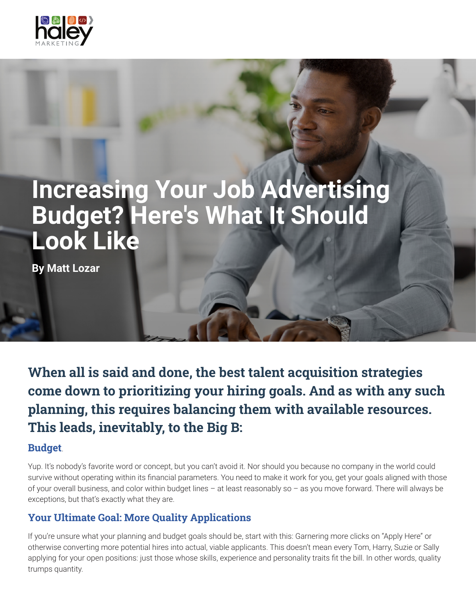

# **Increasing Your Job Advertising Budget? Here's What It Should Look Like**

**By Matt Lozar**

When all is said and done, the best talent acquisition strategies come down to prioritizing your hiring goals. And as with any such planning, this requires balancing them with available resources. This leads, inevitably, to the Big B:

#### Budget.

Yup. It's nobody's favorite word or concept, but you can't avoid it. Nor should you because no company in the world could survive without operating within its financial parameters. You need to make it work for you, get your goals aligned with those of your overall business, and color within budget lines – at least reasonably so – as you move forward. There will always be exceptions, but that's exactly what they are.

## Your Ultimate Goal: More Quality Applications

If you're unsure what your planning and budget goals should be, start with this: Garnering more clicks on "Apply Here" or otherwise converting more potential hires into actual, viable applicants. This doesn't mean every Tom, Harry, Suzie or Sally applying for your open positions: just those whose skills, experience and personality traits fit the bill. In other words, quality trumps quantity.